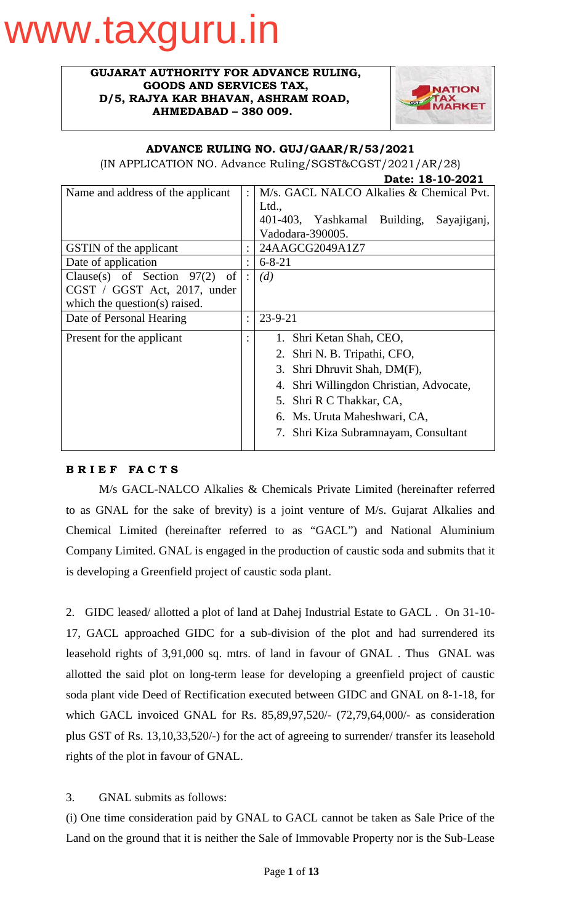# www.taxguru.in

#### **GUJARAT AUTHORITY FOR ADVANCE RULING, GOODS AND SERVICES TAX, D/5, RAJYA KAR BHAVAN, ASHRAM ROAD, AHMEDABAD – 380 009.**



## **ADVANCE RULING NO. GUJ/GAAR/R/53/2021**

(IN APPLICATION NO. Advance Ruling/SGST&CGST/2021/AR/28)

|                                                    |                | Date: 18-10-2021                            |  |  |
|----------------------------------------------------|----------------|---------------------------------------------|--|--|
| Name and address of the applicant                  | $\ddot{\cdot}$ | M/s. GACL NALCO Alkalies & Chemical Pvt.    |  |  |
|                                                    |                | Ltd.,                                       |  |  |
|                                                    |                | 401-403, Yashkamal Building,<br>Sayajiganj, |  |  |
|                                                    |                | Vadodara-390005.                            |  |  |
| <b>GSTIN</b> of the applicant                      |                | 24AAGCG2049A1Z7                             |  |  |
| Date of application                                |                | $6 - 8 - 21$                                |  |  |
| Clause(s) of Section $97(2)$<br>$\circ$ of $\vert$ | $\ddot{\cdot}$ | (d)                                         |  |  |
| CGST / GGST Act, 2017, under                       |                |                                             |  |  |
| which the question(s) raised.                      |                |                                             |  |  |
| Date of Personal Hearing                           | $\ddot{\cdot}$ | $23 - 9 - 21$                               |  |  |
| Present for the applicant                          | $\bullet$      | 1. Shri Ketan Shah, CEO,                    |  |  |
|                                                    |                | 2. Shri N. B. Tripathi, CFO,                |  |  |
|                                                    |                | 3. Shri Dhruvit Shah, DM(F),                |  |  |
|                                                    |                | 4. Shri Willingdon Christian, Advocate,     |  |  |
|                                                    |                | 5. Shri R C Thakkar, CA,                    |  |  |
|                                                    |                | 6. Ms. Uruta Maheshwari, CA,                |  |  |
|                                                    |                |                                             |  |  |
|                                                    |                | 7. Shri Kiza Subramnayam, Consultant        |  |  |
|                                                    |                |                                             |  |  |

# **B R I E F FA C T S**

M/s GACL-NALCO Alkalies & Chemicals Private Limited (hereinafter referred to as GNAL for the sake of brevity) is a joint venture of M/s. Gujarat Alkalies and Chemical Limited (hereinafter referred to as "GACL") and National Aluminium Company Limited. GNAL is engaged in the production of caustic soda and submits that it is developing a Greenfield project of caustic soda plant.

2. GIDC leased/ allotted a plot of land at Dahej Industrial Estate to GACL . On 31-10- 17, GACL approached GIDC for a sub-division of the plot and had surrendered its leasehold rights of 3,91,000 sq. mtrs. of land in favour of GNAL . Thus GNAL was allotted the said plot on long-term lease for developing a greenfield project of caustic soda plant vide Deed of Rectification executed between GIDC and GNAL on 8-1-18, for which GACL invoiced GNAL for Rs. 85,89,97,520/- (72,79,64,000/- as consideration plus GST of Rs. 13,10,33,520/-) for the act of agreeing to surrender/ transfer its leasehold rights of the plot in favour of GNAL.

3. GNAL submits as follows:

(i) One time consideration paid by GNAL to GACL cannot be taken as Sale Price of the Land on the ground that it is neither the Sale of Immovable Property nor is the Sub-Lease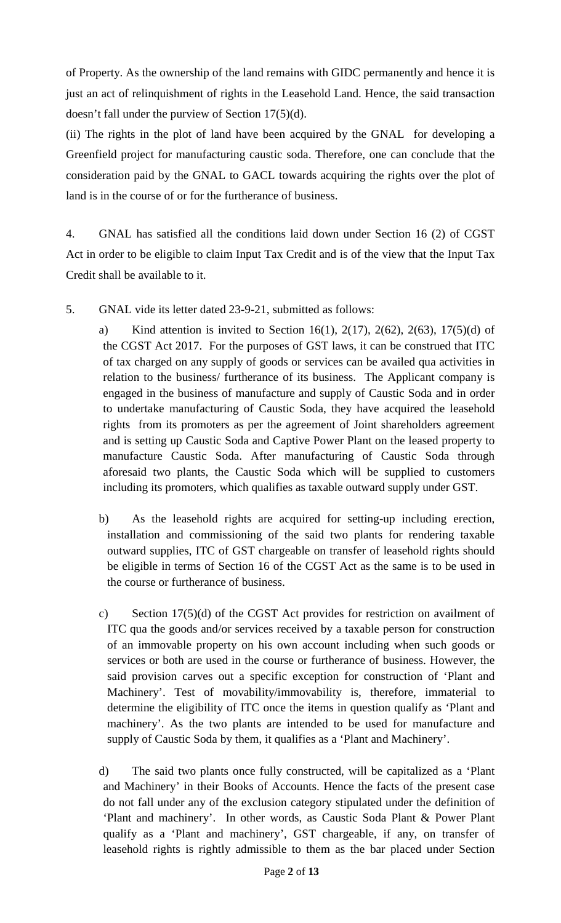of Property. As the ownership of the land remains with GIDC permanently and hence it is just an act of relinquishment of rights in the Leasehold Land. Hence, the said transaction doesn't fall under the purview of Section 17(5)(d).

(ii) The rights in the plot of land have been acquired by the GNAL for developing a Greenfield project for manufacturing caustic soda. Therefore, one can conclude that the consideration paid by the GNAL to GACL towards acquiring the rights over the plot of land is in the course of or for the furtherance of business.

4. GNAL has satisfied all the conditions laid down under Section 16 (2) of CGST Act in order to be eligible to claim Input Tax Credit and is of the view that the Input Tax Credit shall be available to it.

- 5. GNAL vide its letter dated 23-9-21, submitted as follows:
	- a) Kind attention is invited to Section 16(1), 2(17), 2(62), 2(63), 17(5)(d) of the CGST Act 2017. For the purposes of GST laws, it can be construed that ITC of tax charged on any supply of goods or services can be availed qua activities in relation to the business/ furtherance of its business. The Applicant company is engaged in the business of manufacture and supply of Caustic Soda and in order to undertake manufacturing of Caustic Soda, they have acquired the leasehold rights from its promoters as per the agreement of Joint shareholders agreement and is setting up Caustic Soda and Captive Power Plant on the leased property to manufacture Caustic Soda. After manufacturing of Caustic Soda through aforesaid two plants, the Caustic Soda which will be supplied to customers including its promoters, which qualifies as taxable outward supply under GST.
	- b) As the leasehold rights are acquired for setting-up including erection, installation and commissioning of the said two plants for rendering taxable outward supplies, ITC of GST chargeable on transfer of leasehold rights should be eligible in terms of Section 16 of the CGST Act as the same is to be used in the course or furtherance of business.
	- c) Section 17(5)(d) of the CGST Act provides for restriction on availment of ITC qua the goods and/or services received by a taxable person for construction of an immovable property on his own account including when such goods or services or both are used in the course or furtherance of business. However, the said provision carves out a specific exception for construction of 'Plant and Machinery'. Test of movability/immovability is, therefore, immaterial to determine the eligibility of ITC once the items in question qualify as 'Plant and machinery'. As the two plants are intended to be used for manufacture and supply of Caustic Soda by them, it qualifies as a 'Plant and Machinery'.
	- d) The said two plants once fully constructed, will be capitalized as a 'Plant and Machinery' in their Books of Accounts. Hence the facts of the present case do not fall under any of the exclusion category stipulated under the definition of 'Plant and machinery'. In other words, as Caustic Soda Plant & Power Plant qualify as a 'Plant and machinery', GST chargeable, if any, on transfer of leasehold rights is rightly admissible to them as the bar placed under Section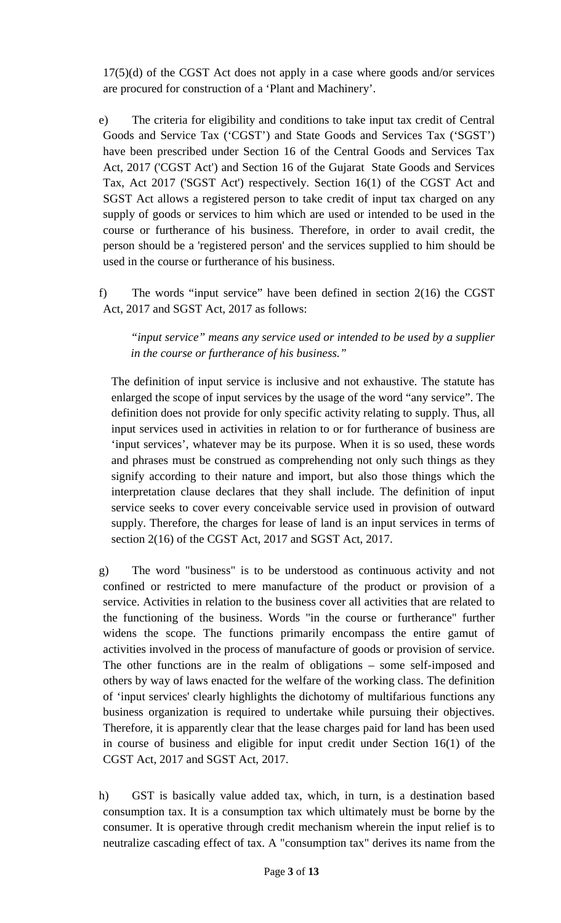17(5)(d) of the CGST Act does not apply in a case where goods and/or services are procured for construction of a 'Plant and Machinery'.

e) The criteria for eligibility and conditions to take input tax credit of Central Goods and Service Tax ('CGST') and State Goods and Services Tax ('SGST') have been prescribed under Section 16 of the Central Goods and Services Tax Act, 2017 ('CGST Act') and Section 16 of the Gujarat State Goods and Services Tax, Act 2017 ('SGST Act') respectively. Section 16(1) of the CGST Act and SGST Act allows a registered person to take credit of input tax charged on any supply of goods or services to him which are used or intended to be used in the course or furtherance of his business. Therefore, in order to avail credit, the person should be a 'registered person' and the services supplied to him should be used in the course or furtherance of his business.

f) The words "input service" have been defined in section 2(16) the CGST Act, 2017 and SGST Act, 2017 as follows:

*"input service" means any service used or intended to be used by a supplier in the course or furtherance of his business."*

The definition of input service is inclusive and not exhaustive. The statute has enlarged the scope of input services by the usage of the word "any service". The definition does not provide for only specific activity relating to supply. Thus, all input services used in activities in relation to or for furtherance of business are 'input services', whatever may be its purpose. When it is so used, these words and phrases must be construed as comprehending not only such things as they signify according to their nature and import, but also those things which the interpretation clause declares that they shall include. The definition of input service seeks to cover every conceivable service used in provision of outward supply. Therefore, the charges for lease of land is an input services in terms of section 2(16) of the CGST Act, 2017 and SGST Act, 2017.

g) The word "business" is to be understood as continuous activity and not confined or restricted to mere manufacture of the product or provision of a service. Activities in relation to the business cover all activities that are related to the functioning of the business. Words "in the course or furtherance" further widens the scope. The functions primarily encompass the entire gamut of activities involved in the process of manufacture of goods or provision of service. The other functions are in the realm of obligations – some self-imposed and others by way of laws enacted for the welfare of the working class. The definition of 'input services' clearly highlights the dichotomy of multifarious functions any business organization is required to undertake while pursuing their objectives. Therefore, it is apparently clear that the lease charges paid for land has been used in course of business and eligible for input credit under Section 16(1) of the CGST Act, 2017 and SGST Act, 2017.

h) GST is basically value added tax, which, in turn, is a destination based consumption tax. It is a consumption tax which ultimately must be borne by the consumer. It is operative through credit mechanism wherein the input relief is to neutralize cascading effect of tax. A "consumption tax" derives its name from the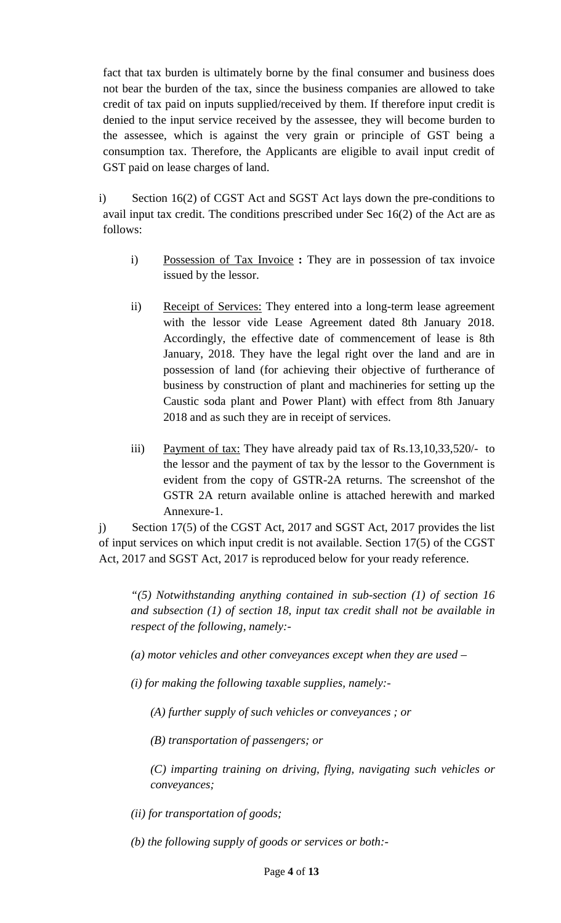fact that tax burden is ultimately borne by the final consumer and business does not bear the burden of the tax, since the business companies are allowed to take credit of tax paid on inputs supplied/received by them. If therefore input credit is denied to the input service received by the assessee, they will become burden to the assessee, which is against the very grain or principle of GST being a consumption tax. Therefore, the Applicants are eligible to avail input credit of GST paid on lease charges of land.

- i) Section 16(2) of CGST Act and SGST Act lays down the pre-conditions to avail input tax credit. The conditions prescribed under Sec 16(2) of the Act are as follows:
	- i) Possession of Tax Invoice **:** They are in possession of tax invoice issued by the lessor.
	- ii) Receipt of Services: They entered into a long-term lease agreement with the lessor vide Lease Agreement dated 8th January 2018. Accordingly, the effective date of commencement of lease is 8th January, 2018. They have the legal right over the land and are in possession of land (for achieving their objective of furtherance of business by construction of plant and machineries for setting up the Caustic soda plant and Power Plant) with effect from 8th January 2018 and as such they are in receipt of services.
	- iii) Payment of tax: They have already paid tax of Rs.13,10,33,520/- to the lessor and the payment of tax by the lessor to the Government is evident from the copy of GSTR-2A returns. The screenshot of the GSTR 2A return available online is attached herewith and marked Annexure-1.

j) Section 17(5) of the CGST Act, 2017 and SGST Act, 2017 provides the list of input services on which input credit is not available. Section 17(5) of the CGST Act, 2017 and SGST Act, 2017 is reproduced below for your ready reference.

*"(5) Notwithstanding anything contained in sub-section (1) of section 16 and subsection (1) of section 18, input tax credit shall not be available in respect of the following, namely:-*

*(a) motor vehicles and other conveyances except when they are used –*

*(i) for making the following taxable supplies, namely:-*

*(A) further supply of such vehicles or conveyances ; or*

*(B) transportation of passengers; or*

*(C) imparting training on driving, flying, navigating such vehicles or conveyances;*

*(ii) for transportation of goods;*

*(b) the following supply of goods or services or both:-*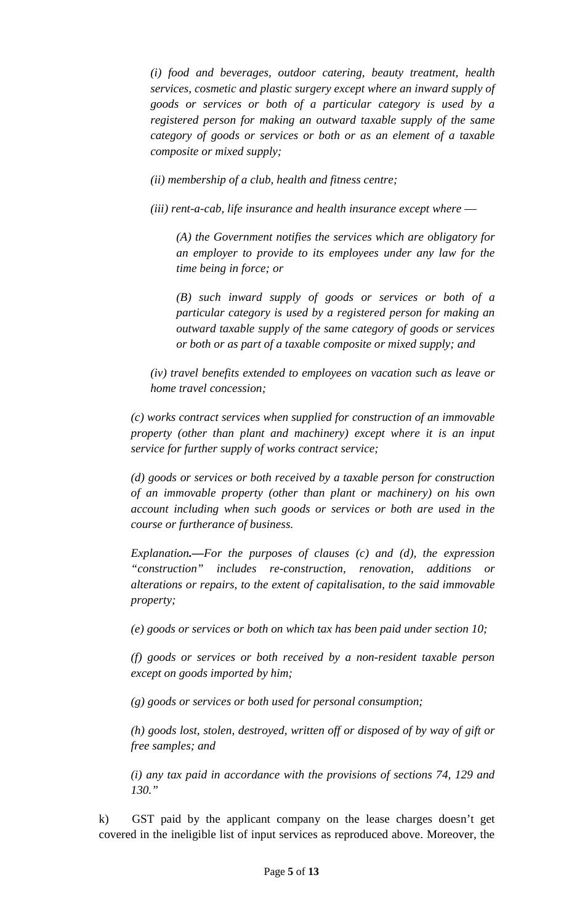*(i) food and beverages, outdoor catering, beauty treatment, health services, cosmetic and plastic surgery except where an inward supply of goods or services or both of a particular category is used by a registered person for making an outward taxable supply of the same category of goods or services or both or as an element of a taxable composite or mixed supply;*

*(ii) membership of a club, health and fitness centre;*

*(iii) rent-a-cab, life insurance and health insurance except where ––*

*(A) the Government notifies the services which are obligatory for an employer to provide to its employees under any law for the time being in force; or*

*(B) such inward supply of goods or services or both of a particular category is used by a registered person for making an outward taxable supply of the same category of goods or services or both or as part of a taxable composite or mixed supply; and*

*(iv) travel benefits extended to employees on vacation such as leave or home travel concession;*

*(c) works contract services when supplied for construction of an immovable property (other than plant and machinery) except where it is an input service for further supply of works contract service;*

*(d) goods or services or both received by a taxable person for construction of an immovable property (other than plant or machinery) on his own account including when such goods or services or both are used in the course or furtherance of business.*

*Explanation.––For the purposes of clauses (c) and (d), the expression "construction" includes re-construction, renovation, additions or alterations or repairs, to the extent of capitalisation, to the said immovable property;*

*(e) goods or services or both on which tax has been paid under section 10;*

*(f) goods or services or both received by a non-resident taxable person except on goods imported by him;*

*(g) goods or services or both used for personal consumption;*

*(h) goods lost, stolen, destroyed, written off or disposed of by way of gift or free samples; and*

*(i) any tax paid in accordance with the provisions of sections 74, 129 and 130."*

k) GST paid by the applicant company on the lease charges doesn't get covered in the ineligible list of input services as reproduced above. Moreover, the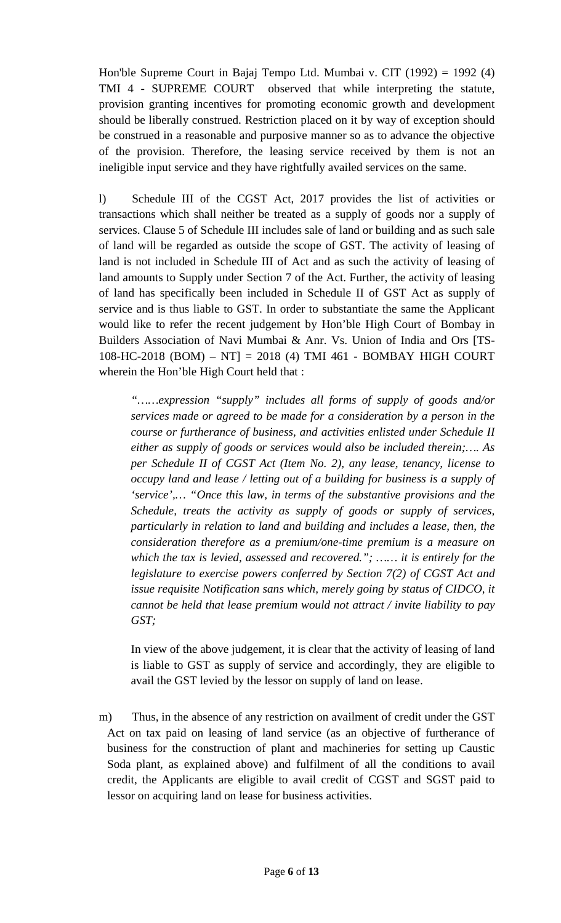Hon'ble Supreme Court in [Bajaj Tempo Ltd. Mumbai v. CIT \(1992\) = 1992 \(4\)](https://www.taxmanagementindia.com/visitor/detail_case_laws.asp?ID=5372)  TMI 4 - [SUPREME COURT](https://www.taxmanagementindia.com/visitor/detail_case_laws.asp?ID=5372) observed that while interpreting the statute, provision granting incentives for promoting economic growth and development should be liberally construed. Restriction placed on it by way of exception should be construed in a reasonable and purposive manner so as to advance the objective of the provision. Therefore, the leasing service received by them is not an ineligible input service and they have rightfully availed services on the same.

l) Schedule III of the CGST Act, 2017 provides the list of activities or transactions which shall neither be treated as a supply of goods nor a supply of services. Clause 5 of Schedule III includes sale of land or building and as such sale of land will be regarded as outside the scope of GST. The activity of leasing of land is not included in Schedule III of Act and as such the activity of leasing of land amounts to Supply under Section 7 of the Act. Further, the activity of leasing of land has specifically been included in Schedule II of GST Act as supply of service and is thus liable to GST. In order to substantiate the same the Applicant would like to refer the recent judgement by Hon'ble High Court of [Bombay in](https://www.taxmanagementindia.com/visitor/detail_case_laws.asp?ID=358350)  [Builders Association of Navi Mumbai & Anr. Vs. Union of India and Ors \[TS-](https://www.taxmanagementindia.com/visitor/detail_case_laws.asp?ID=358350)108-HC-2018 (BOM) – [NT\] = 2018 \(4\) TMI 461 -](https://www.taxmanagementindia.com/visitor/detail_case_laws.asp?ID=358350) BOMBAY HIGH COURT wherein the Hon'ble High Court held that :

*"……expression "supply" includes all forms of supply of goods and/or services made or agreed to be made for a consideration by a person in the course or furtherance of business, and activities enlisted under Schedule II either as supply of goods or services would also be included therein;…. As per Schedule II of CGST Act (Item No. 2), any lease, tenancy, license to occupy land and lease / letting out of a building for business is a supply of 'service',… "Once this law, in terms of the substantive provisions and the Schedule, treats the activity as supply of goods or supply of services, particularly in relation to land and building and includes a lease, then, the consideration therefore as a premium/one-time premium is a measure on which the tax is levied, assessed and recovered."; …… it is entirely for the legislature to exercise powers conferred by Section 7(2) of CGST Act and issue requisite Notification sans which, merely going by status of CIDCO, it cannot be held that lease premium would not attract / invite liability to pay GST;*

In view of the above judgement, it is clear that the activity of leasing of land is liable to GST as supply of service and accordingly, they are eligible to avail the GST levied by the lessor on supply of land on lease.

m) Thus, in the absence of any restriction on availment of credit under the GST Act on tax paid on leasing of land service (as an objective of furtherance of business for the construction of plant and machineries for setting up Caustic Soda plant, as explained above) and fulfilment of all the conditions to avail credit, the Applicants are eligible to avail credit of CGST and SGST paid to lessor on acquiring land on lease for business activities.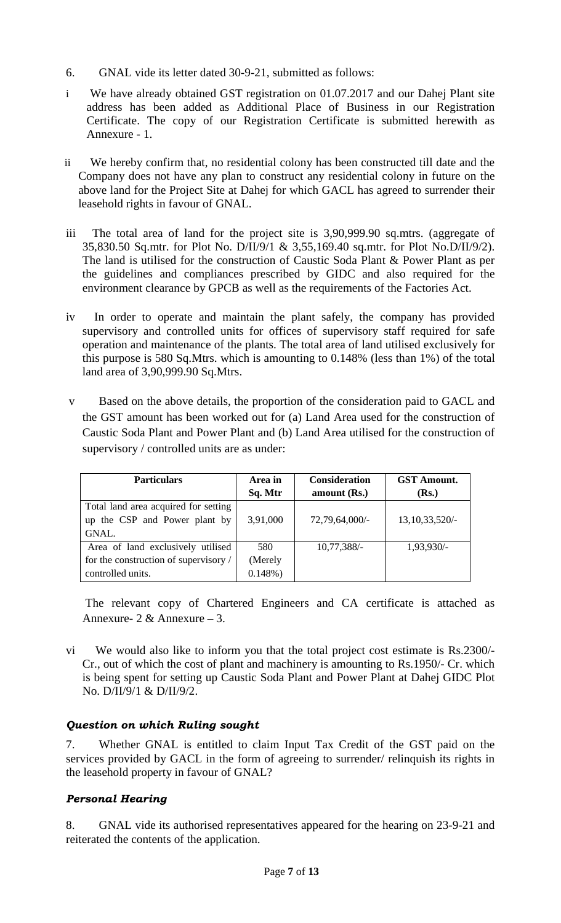- 6. GNAL vide its letter dated 30-9-21, submitted as follows:
- i We have already obtained GST registration on 01.07.2017 and our Dahej Plant site address has been added as Additional Place of Business in our Registration Certificate. The copy of our Registration Certificate is submitted herewith as Annexure - 1.
- ii We hereby confirm that, no residential colony has been constructed till date and the Company does not have any plan to construct any residential colony in future on the above land for the Project Site at Dahej for which GACL has agreed to surrender their leasehold rights in favour of GNAL.
- iii The total area of land for the project site is 3,90,999.90 sq.mtrs. (aggregate of 35,830.50 Sq.mtr. for Plot No. D/II/9/1 & 3,55,169.40 sq.mtr. for Plot No.D/II/9/2). The land is utilised for the construction of Caustic Soda Plant & Power Plant as per the guidelines and compliances prescribed by GIDC and also required for the environment clearance by GPCB as well as the requirements of the Factories Act.
- iv In order to operate and maintain the plant safely, the company has provided supervisory and controlled units for offices of supervisory staff required for safe operation and maintenance of the plants. The total area of land utilised exclusively for this purpose is 580 Sq.Mtrs. which is amounting to 0.148% (less than 1%) of the total land area of 3,90,999.90 Sq.Mtrs.
- v Based on the above details, the proportion of the consideration paid to GACL and the GST amount has been worked out for (a) Land Area used for the construction of Caustic Soda Plant and Power Plant and (b) Land Area utilised for the construction of supervisory / controlled units are as under:

| <b>Particulars</b>                    | Area in<br>Sq. Mtr | <b>Consideration</b><br>amount $(Rs.)$ | <b>GST Amount.</b><br>(Rs.) |
|---------------------------------------|--------------------|----------------------------------------|-----------------------------|
| Total land area acquired for setting  |                    |                                        |                             |
|                                       |                    |                                        |                             |
| up the CSP and Power plant by         | 3,91,000           | 72,79,64,000/-                         | 13, 10, 33, 520/-           |
| GNAL.                                 |                    |                                        |                             |
| Area of land exclusively utilised     | 580                | $10,77,388/-$                          | 1,93,930/-                  |
| for the construction of supervisory / | (Merely            |                                        |                             |
| controlled units.                     | $0.148%$ )         |                                        |                             |

The relevant copy of Chartered Engineers and CA certificate is attached as Annexure-  $2 &$  Annexure – 3.

vi We would also like to inform you that the total project cost estimate is Rs.2300/- Cr., out of which the cost of plant and machinery is amounting to Rs.1950/- Cr. which is being spent for setting up Caustic Soda Plant and Power Plant at Dahej GIDC Plot No. D/II/9/1 & D/II/9/2.

# *Question on which Ruling sought*

7. Whether GNAL is entitled to claim Input Tax Credit of the GST paid on the services provided by GACL in the form of agreeing to surrender/ relinquish its rights in the leasehold property in favour of GNAL?

# *Personal Hearing*

8. GNAL vide its authorised representatives appeared for the hearing on 23-9-21 and reiterated the contents of the application.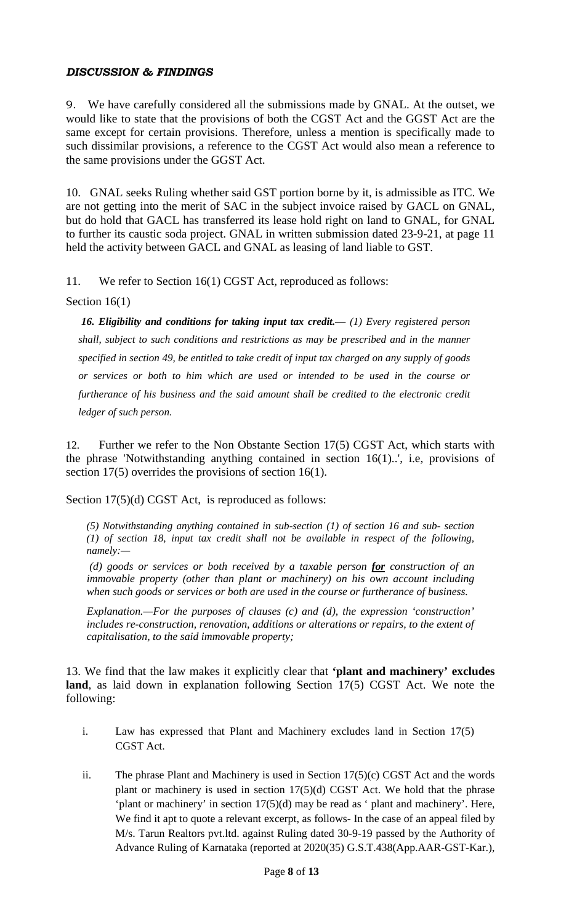## *DISCUSSION & FINDINGS*

9. We have carefully considered all the submissions made by GNAL. At the outset, we would like to state that the provisions of both the CGST Act and the GGST Act are the same except for certain provisions. Therefore, unless a mention is specifically made to such dissimilar provisions, a reference to the CGST Act would also mean a reference to the same provisions under the GGST Act.

10. GNAL seeks Ruling whether said GST portion borne by it, is admissible as ITC. We are not getting into the merit of SAC in the subject invoice raised by GACL on GNAL, but do hold that GACL has transferred its lease hold right on land to GNAL, for GNAL to further its caustic soda project. GNAL in written submission dated 23-9-21, at page 11 held the activity between GACL and GNAL as leasing of land liable to GST.

11. We refer to Section 16(1) CGST Act, reproduced as follows:

Section 16(1)

*16. Eligibility and conditions for taking input tax credit.— (1) Every registered person shall, subject to such conditions and restrictions as may be prescribed and in the manner specified in section 49, be entitled to take credit of input tax charged on any supply of goods or services or both to him which are used or intended to be used in the course or furtherance of his business and the said amount shall be credited to the electronic credit ledger of such person.*

12. Further we refer to the Non Obstante Section 17(5) CGST Act, which starts with the phrase 'Notwithstanding anything contained in section 16(1)..', i.e, provisions of section 17(5) overrides the provisions of section 16(1).

Section 17(5)(d) CGST Act, is reproduced as follows:

*(5) Notwithstanding anything contained in sub-section (1) of section 16 and sub- section (1) of section 18, input tax credit shall not be available in respect of the following, namely:—*

*(d) goods or services or both received by a taxable person for construction of an immovable property (other than plant or machinery) on his own account including when such goods or services or both are used in the course or furtherance of business.*

*Explanation.—For the purposes of clauses (c) and (d), the expression 'construction' includes re-construction, renovation, additions or alterations or repairs, to the extent of capitalisation, to the said immovable property;*

13. We find that the law makes it explicitly clear that **'plant and machinery' excludes land**, as laid down in explanation following Section 17(5) CGST Act. We note the following:

- i. Law has expressed that Plant and Machinery excludes land in Section 17(5) CGST Act.
- ii. The phrase Plant and Machinery is used in Section 17(5)(c) CGST Act and the words plant or machinery is used in section  $17(5)(d)$  CGST Act. We hold that the phrase 'plant or machinery' in section 17(5)(d) may be read as ' plant and machinery'. Here, We find it apt to quote a relevant excerpt, as follows- In the case of an appeal filed by M/s. Tarun Realtors pvt.ltd. against Ruling dated 30-9-19 passed by the Authority of Advance Ruling of Karnataka (reported at 2020(35) G.S.T.438(App.AAR-GST-Kar.),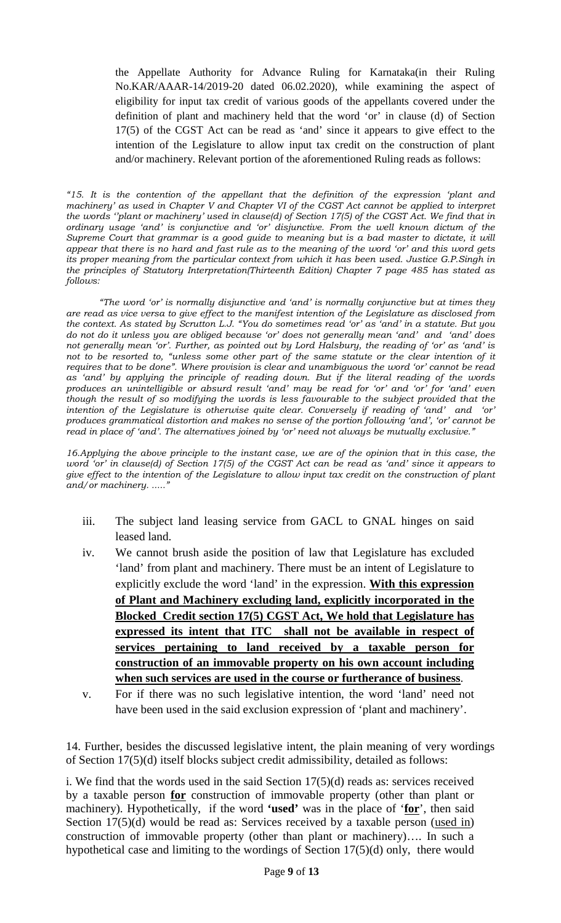the Appellate Authority for Advance Ruling for Karnataka(in their Ruling No.KAR/AAAR-14/2019-20 dated 06.02.2020), while examining the aspect of eligibility for input tax credit of various goods of the appellants covered under the definition of plant and machinery held that the word 'or' in clause (d) of Section 17(5) of the CGST Act can be read as 'and' since it appears to give effect to the intention of the Legislature to allow input tax credit on the construction of plant and/or machinery. Relevant portion of the aforementioned Ruling reads as follows:

*"15. It is the contention of the appellant that the definition of the expression 'plant and machinery' as used in Chapter V and Chapter VI of the CGST Act cannot be applied to interpret the words ''plant or machinery' used in clause(d) of Section 17(5) of the CGST Act. We find that in ordinary usage 'and' is conjunctive and 'or' disjunctive. From the well known dictum of the Supreme Court that grammar is a good guide to meaning but is a bad master to dictate, it will appear that there is no hard and fast rule as to the meaning of the word 'or' and this word gets its proper meaning from the particular context from which it has been used. Justice G.P.Singh in the principles of Statutory Interpretation(Thirteenth Edition) Chapter 7 page 485 has stated as follows:*

*"The word 'or' is normally disjunctive and 'and' is normally conjunctive but at times they are read as vice versa to give effect to the manifest intention of the Legislature as disclosed from the context. As stated by Scrutton L.J. "You do sometimes read 'or' as 'and' in a statute. But you do not do it unless you are obliged because 'or' does not generally mean 'and' and 'and' does not generally mean 'or'. Further, as pointed out by Lord Halsbury, the reading of 'or' as 'and' is not to be resorted to, "unless some other part of the same statute or the clear intention of it requires that to be done". Where provision is clear and unambiguous the word 'or' cannot be read as 'and' by applying the principle of reading down. But if the literal reading of the words produces an unintelligible or absurd result 'and' may be read for 'or' and 'or' for 'and' even though the result of so modifying the words is less favourable to the subject provided that the intention of the Legislature is otherwise quite clear. Conversely if reading of 'and' and 'or' produces grammatical distortion and makes no sense of the portion following 'and', 'or' cannot be read in place of 'and'. The alternatives joined by 'or' need not always be mutually exclusive."*

*16.Applying the above principle to the instant case, we are of the opinion that in this case, the word 'or' in clause(d) of Section 17(5) of the CGST Act can be read as 'and' since it appears to give effect to the intention of the Legislature to allow input tax credit on the construction of plant and/or machinery. ....."*

- iii. The subject land leasing service from GACL to GNAL hinges on said leased land.
- iv. We cannot brush aside the position of law that Legislature has excluded 'land' from plant and machinery. There must be an intent of Legislature to explicitly exclude the word 'land' in the expression. **With this expression of Plant and Machinery excluding land, explicitly incorporated in the Blocked Credit section 17(5) CGST Act, We hold that Legislature has expressed its intent that ITC shall not be available in respect of services pertaining to land received by a taxable person for construction of an immovable property on his own account including when such services are used in the course or furtherance of business**.
- v. For if there was no such legislative intention, the word 'land' need not have been used in the said exclusion expression of 'plant and machinery'.

14. Further, besides the discussed legislative intent, the plain meaning of very wordings of Section 17(5)(d) itself blocks subject credit admissibility, detailed as follows:

i. We find that the words used in the said Section 17(5)(d) reads as: services received by a taxable person **for** construction of immovable property (other than plant or machinery). Hypothetically, if the word **'used'** was in the place of '**for**', then said Section  $17(5)(d)$  would be read as: Services received by a taxable person (used in) construction of immovable property (other than plant or machinery)…. In such a hypothetical case and limiting to the wordings of Section 17(5)(d) only, there would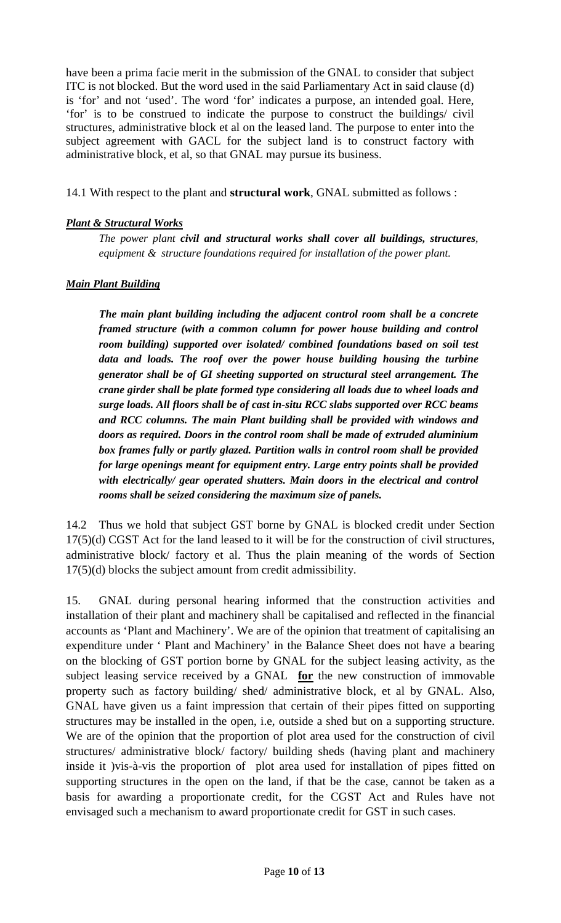have been a prima facie merit in the submission of the GNAL to consider that subject ITC is not blocked. But the word used in the said Parliamentary Act in said clause (d) is 'for' and not 'used'. The word 'for' indicates a purpose, an intended goal. Here, 'for' is to be construed to indicate the purpose to construct the buildings/ civil structures, administrative block et al on the leased land. The purpose to enter into the subject agreement with GACL for the subject land is to construct factory with administrative block, et al, so that GNAL may pursue its business.

14.1 With respect to the plant and **structural work**, GNAL submitted as follows :

### *Plant & Structural Works*

*The power plant civil and structural works shall cover all buildings, structures, equipment & structure foundations required for installation of the power plant.*

#### *Main Plant Building*

*The main plant building including the adjacent control room shall be a concrete framed structure (with a common column for power house building and control room building) supported over isolated/ combined foundations based on soil test data and loads. The roof over the power house building housing the turbine generator shall be of GI sheeting supported on structural steel arrangement. The crane girder shall be plate formed type considering all loads due to wheel loads and surge loads. All floors shall be of cast in-situ RCC slabs supported over RCC beams and RCC columns. The main Plant building shall be provided with windows and doors as required. Doors in the control room shall be made of extruded aluminium box frames fully or partly glazed. Partition walls in control room shall be provided for large openings meant for equipment entry. Large entry points shall be provided with electrically/ gear operated shutters. Main doors in the electrical and control rooms shall be seized considering the maximum size of panels.* 

14.2 Thus we hold that subject GST borne by GNAL is blocked credit under Section 17(5)(d) CGST Act for the land leased to it will be for the construction of civil structures, administrative block/ factory et al. Thus the plain meaning of the words of Section 17(5)(d) blocks the subject amount from credit admissibility.

15. GNAL during personal hearing informed that the construction activities and installation of their plant and machinery shall be capitalised and reflected in the financial accounts as 'Plant and Machinery'. We are of the opinion that treatment of capitalising an expenditure under ' Plant and Machinery' in the Balance Sheet does not have a bearing on the blocking of GST portion borne by GNAL for the subject leasing activity, as the subject leasing service received by a GNAL **for** the new construction of immovable property such as factory building/ shed/ administrative block, et al by GNAL. Also, GNAL have given us a faint impression that certain of their pipes fitted on supporting structures may be installed in the open, i.e, outside a shed but on a supporting structure. We are of the opinion that the proportion of plot area used for the construction of civil structures/ administrative block/ factory/ building sheds (having plant and machinery inside it )vis-à-vis the proportion of plot area used for installation of pipes fitted on supporting structures in the open on the land, if that be the case, cannot be taken as a basis for awarding a proportionate credit, for the CGST Act and Rules have not envisaged such a mechanism to award proportionate credit for GST in such cases.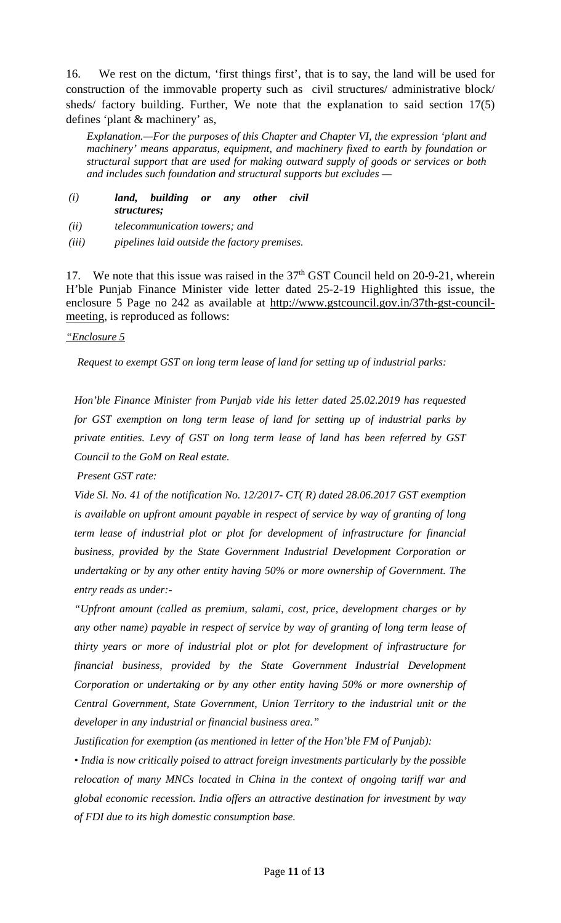16. We rest on the dictum, 'first things first', that is to say, the land will be used for construction of the immovable property such as civil structures/ administrative block/ sheds/ factory building. Further, We note that the explanation to said section 17(5) defines 'plant & machinery' as,

*Explanation.—For the purposes of this Chapter and Chapter VI, the expression 'plant and machinery' means apparatus, equipment, and machinery fixed to earth by foundation or structural support that are used for making outward supply of goods or services or both and includes such foundation and structural supports but excludes —*

- *(i) land, building or any other civil structures;*
- *(ii) telecommunication towers; and*
- *(iii) pipelines laid outside the factory premises.*

17. We note that this issue was raised in the  $37<sup>th</sup>$  GST Council held on 20-9-21, wherein H'ble Punjab Finance Minister vide letter dated 25-2-19 Highlighted this issue, the enclosure 5 Page no 242 as available at [http://www.gstcouncil.gov.in/37th-gst-council](http://www.gstcouncil.gov.in/37th-gst-council-meeting)[meeting,](http://www.gstcouncil.gov.in/37th-gst-council-meeting) is reproduced as follows:

#### *"Enclosure 5*

*Request to exempt GST on long term lease of land for setting up of industrial parks:* 

*Hon'ble Finance Minister from Punjab vide his letter dated 25.02.2019 has requested for GST exemption on long term lease of land for setting up of industrial parks by private entities. Levy of GST on long term lease of land has been referred by GST Council to the GoM on Real estate.*

*Present GST rate:* 

*Vide Sl. No. 41 of the notification No. 12/2017- CT( R) dated 28.06.2017 GST exemption is available on upfront amount payable in respect of service by way of granting of long term lease of industrial plot or plot for development of infrastructure for financial business, provided by the State Government Industrial Development Corporation or undertaking or by any other entity having 50% or more ownership of Government. The entry reads as under:-*

*"Upfront amount (called as premium, salami, cost, price, development charges or by any other name) payable in respect of service by way of granting of long term lease of thirty years or more of industrial plot or plot for development of infrastructure for financial business, provided by the State Government Industrial Development Corporation or undertaking or by any other entity having 50% or more ownership of Central Government, State Government, Union Territory to the industrial unit or the developer in any industrial or financial business area."* 

*Justification for exemption (as mentioned in letter of the Hon'ble FM of Punjab):* 

*• India is now critically poised to attract foreign investments particularly by the possible relocation of many MNCs located in China in the context of ongoing tariff war and global economic recession. India offers an attractive destination for investment by way of FDI due to its high domestic consumption base.*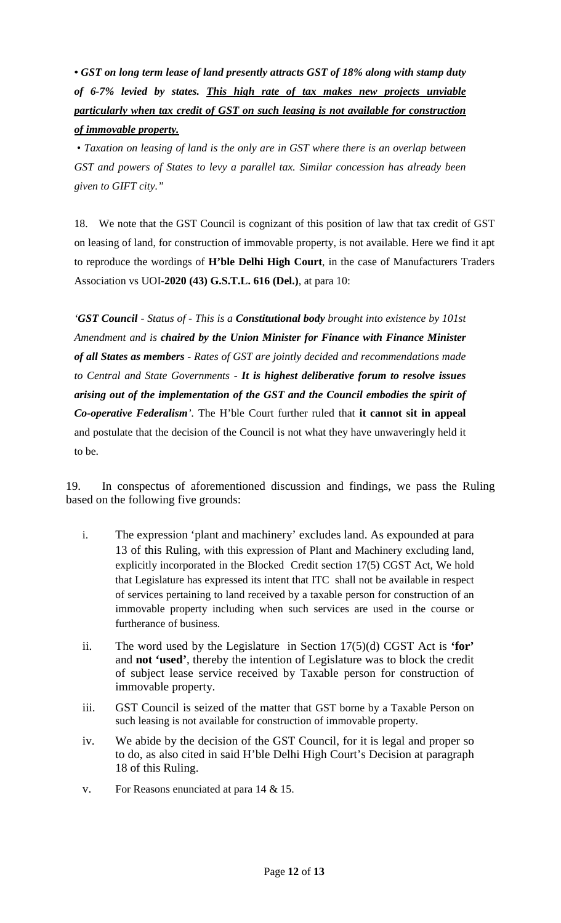*• GST on long term lease of land presently attracts GST of 18% along with stamp duty of 6-7% levied by states. This high rate of tax makes new projects unviable particularly when tax credit of GST on such leasing is not available for construction of immovable property.*

*• Taxation on leasing of land is the only are in GST where there is an overlap between GST and powers of States to levy a parallel tax. Similar concession has already been given to GIFT city."*

18. We note that the GST Council is cognizant of this position of law that tax credit of GST on leasing of land, for construction of immovable property, is not available*.* Here we find it apt to reproduce the wordings of **H'ble Delhi High Court**, in the case of Manufacturers Traders Association vs UOI-**2020 (43) G.S.T.L. 616 (Del.)**, at para 10:

*'GST Council - Status of - This is a Constitutional body brought into existence by 101st Amendment and is chaired by the Union Minister for Finance with Finance Minister of all States as members - Rates of GST are jointly decided and recommendations made to Central and State Governments - It is highest deliberative forum to resolve issues arising out of the implementation of the GST and the Council embodies the spirit of Co-operative Federalism'.* The H'ble Court further ruled that **it cannot sit in appeal** and postulate that the decision of the Council is not what they have unwaveringly held it to be.

19. In conspectus of aforementioned discussion and findings, we pass the Ruling based on the following five grounds:

- i. The expression 'plant and machinery' excludes land. As expounded at para 13 of this Ruling, with this expression of Plant and Machinery excluding land, explicitly incorporated in the Blocked Credit section 17(5) CGST Act, We hold that Legislature has expressed its intent that ITC shall not be available in respect of services pertaining to land received by a taxable person for construction of an immovable property including when such services are used in the course or furtherance of business.
- ii. The word used by the Legislature in Section 17(5)(d) CGST Act is **'for'** and **not 'used'**, thereby the intention of Legislature was to block the credit of subject lease service received by Taxable person for construction of immovable property.
- iii. GST Council is seized of the matter that GST borne by a Taxable Person on such leasing is not available for construction of immovable property.
- iv. We abide by the decision of the GST Council, for it is legal and proper so to do, as also cited in said H'ble Delhi High Court's Decision at paragraph 18 of this Ruling.
- v. For Reasons enunciated at para 14 & 15.